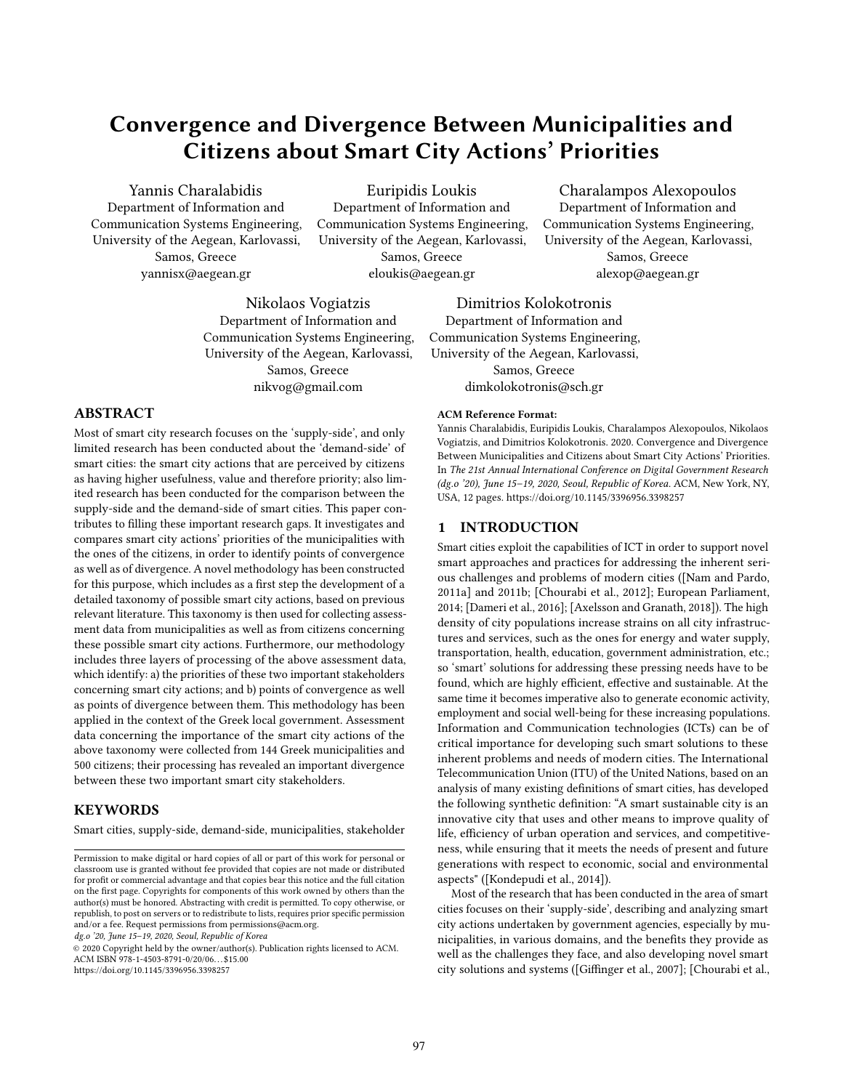# Convergence and Divergence Between Municipalities and Citizens about Smart City Actions' Priorities

Yannis Charalabidis Department of Information and Communication Systems Engineering, University of the Aegean, Karlovassi, Samos, Greece yannisx@aegean.gr

Euripidis Loukis Department of Information and Communication Systems Engineering, University of the Aegean, Karlovassi, Samos, Greece eloukis@aegean.gr

Nikolaos Vogiatzis Department of Information and Communication Systems Engineering, University of the Aegean, Karlovassi, Samos, Greece nikvog@gmail.com

# ABSTRACT

Most of smart city research focuses on the 'supply-side', and only limited research has been conducted about the 'demand-side' of smart cities: the smart city actions that are perceived by citizens as having higher usefulness, value and therefore priority; also limited research has been conducted for the comparison between the supply-side and the demand-side of smart cities. This paper contributes to filling these important research gaps. It investigates and compares smart city actions' priorities of the municipalities with the ones of the citizens, in order to identify points of convergence as well as of divergence. A novel methodology has been constructed for this purpose, which includes as a first step the development of a detailed taxonomy of possible smart city actions, based on previous relevant literature. This taxonomy is then used for collecting assessment data from municipalities as well as from citizens concerning these possible smart city actions. Furthermore, our methodology includes three layers of processing of the above assessment data, which identify: a) the priorities of these two important stakeholders concerning smart city actions; and b) points of convergence as well as points of divergence between them. This methodology has been applied in the context of the Greek local government. Assessment data concerning the importance of the smart city actions of the above taxonomy were collected from 144 Greek municipalities and 500 citizens; their processing has revealed an important divergence between these two important smart city stakeholders.

#### **KEYWORDS**

Smart cities, supply-side, demand-side, municipalities, stakeholder

dg.o '20, June 15–19, 2020, Seoul, Republic of Korea

© 2020 Copyright held by the owner/author(s). Publication rights licensed to ACM. ACM ISBN 978-1-4503-8791-0/20/06. . . \$15.00 <https://doi.org/10.1145/3396956.3398257>

Charalampos Alexopoulos Department of Information and Communication Systems Engineering, University of the Aegean, Karlovassi, Samos, Greece alexop@aegean.gr

Dimitrios Kolokotronis Department of Information and Communication Systems Engineering, University of the Aegean, Karlovassi, Samos, Greece dimkolokotronis@sch.gr

#### ACM Reference Format:

Yannis Charalabidis, Euripidis Loukis, Charalampos Alexopoulos, Nikolaos Vogiatzis, and Dimitrios Kolokotronis. 2020. Convergence and Divergence Between Municipalities and Citizens about Smart City Actions' Priorities. In The 21st Annual International Conference on Digital Government Research (dg.o '20), June 15–19, 2020, Seoul, Republic of Korea. ACM, New York, NY, USA, [12](#page-11-0) pages.<https://doi.org/10.1145/3396956.3398257>

### 1 INTRODUCTION

Smart cities exploit the capabilities of ICT in order to support novel smart approaches and practices for addressing the inherent serious challenges and problems of modern cities ([\[Nam and Pardo,](#page-11-1) [2011a\]](#page-11-1) and 2011b; [\[Chourabi et al., 2012\]](#page-11-2); European Parliament, 2014; [\[Dameri et al., 2016\]](#page-11-3); [\[Axelsson and Granath, 2018\]](#page-11-4)). The high density of city populations increase strains on all city infrastructures and services, such as the ones for energy and water supply, transportation, health, education, government administration, etc.; so 'smart' solutions for addressing these pressing needs have to be found, which are highly efficient, effective and sustainable. At the same time it becomes imperative also to generate economic activity, employment and social well-being for these increasing populations. Information and Communication technologies (ICTs) can be of critical importance for developing such smart solutions to these inherent problems and needs of modern cities. The International Telecommunication Union (ITU) of the United Nations, based on an analysis of many existing definitions of smart cities, has developed the following synthetic definition: "A smart sustainable city is an innovative city that uses and other means to improve quality of life, efficiency of urban operation and services, and competitiveness, while ensuring that it meets the needs of present and future generations with respect to economic, social and environmental aspects" ([\[Kondepudi et al., 2014\]](#page-11-5)).

Most of the research that has been conducted in the area of smart cities focuses on their 'supply-side', describing and analyzing smart city actions undertaken by government agencies, especially by municipalities, in various domains, and the benefits they provide as well as the challenges they face, and also developing novel smart city solutions and systems ([\[Giffinger et al., 2007\]](#page-11-6); [\[Chourabi et al.,](#page-11-2)

Permission to make digital or hard copies of all or part of this work for personal or classroom use is granted without fee provided that copies are not made or distributed for profit or commercial advantage and that copies bear this notice and the full citation on the first page. Copyrights for components of this work owned by others than the author(s) must be honored. Abstracting with credit is permitted. To copy otherwise, or republish, to post on servers or to redistribute to lists, requires prior specific permission and/or a fee. Request permissions from permissions@acm.org.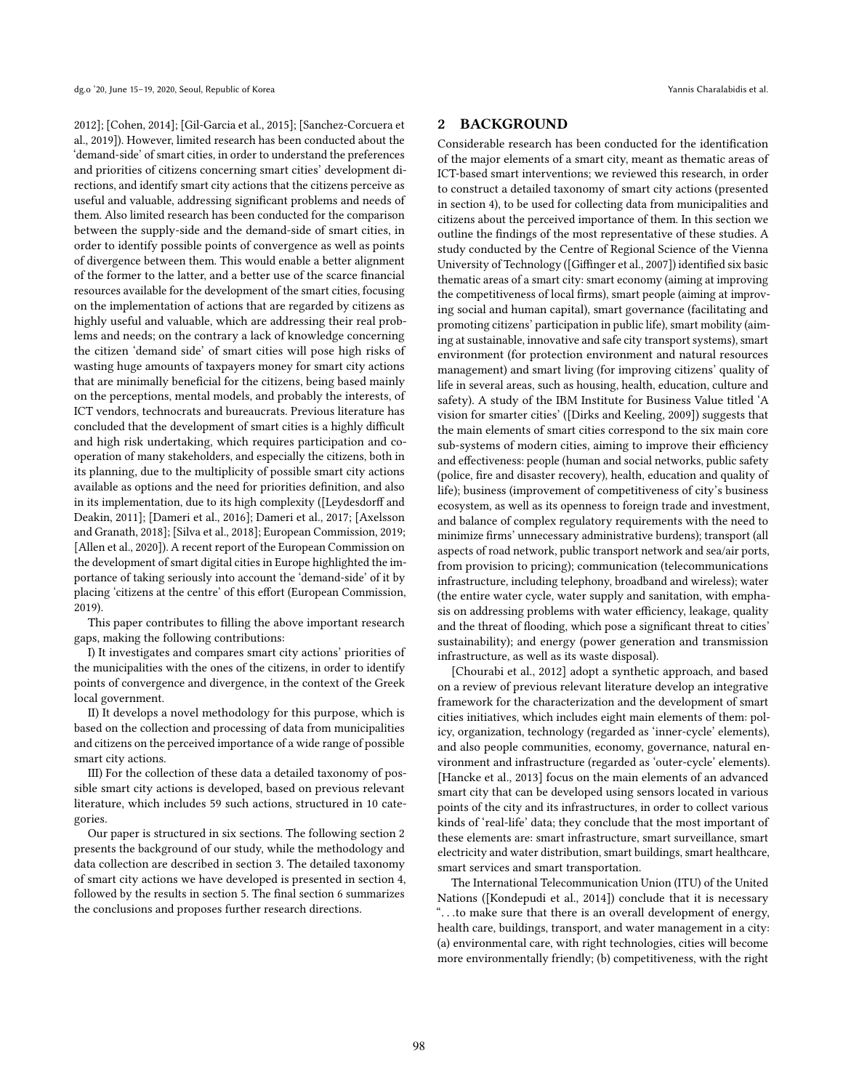[2012\]](#page-11-2); [\[Cohen, 2014\]](#page-11-7); [\[Gil-Garcia et al., 2015\]](#page-11-8); [\[Sanchez-Corcuera et](#page-11-9) [al., 2019\]](#page-11-9)). However, limited research has been conducted about the 'demand-side' of smart cities, in order to understand the preferences and priorities of citizens concerning smart cities' development directions, and identify smart city actions that the citizens perceive as useful and valuable, addressing significant problems and needs of them. Also limited research has been conducted for the comparison between the supply-side and the demand-side of smart cities, in order to identify possible points of convergence as well as points of divergence between them. This would enable a better alignment of the former to the latter, and a better use of the scarce financial resources available for the development of the smart cities, focusing on the implementation of actions that are regarded by citizens as highly useful and valuable, which are addressing their real problems and needs; on the contrary a lack of knowledge concerning the citizen 'demand side' of smart cities will pose high risks of wasting huge amounts of taxpayers money for smart city actions that are minimally beneficial for the citizens, being based mainly on the perceptions, mental models, and probably the interests, of ICT vendors, technocrats and bureaucrats. Previous literature has concluded that the development of smart cities is a highly difficult and high risk undertaking, which requires participation and cooperation of many stakeholders, and especially the citizens, both in its planning, due to the multiplicity of possible smart city actions available as options and the need for priorities definition, and also in its implementation, due to its high complexity ([\[Leydesdorff and](#page-11-10) [Deakin, 2011\]](#page-11-10); [\[Dameri et al., 2016\]](#page-11-3); Dameri et al., 2017; [\[Axelsson](#page-11-4) [and Granath, 2018\]](#page-11-4); [\[Silva et al., 2018\]](#page-11-11); European Commission, 2019; [\[Allen et al., 2020\]](#page-11-12)). A recent report of the European Commission on the development of smart digital cities in Europe highlighted the importance of taking seriously into account the 'demand-side' of it by placing 'citizens at the centre' of this effort (European Commission, 2019).

This paper contributes to filling the above important research gaps, making the following contributions:

I) It investigates and compares smart city actions' priorities of the municipalities with the ones of the citizens, in order to identify points of convergence and divergence, in the context of the Greek local government.

II) It develops a novel methodology for this purpose, which is based on the collection and processing of data from municipalities and citizens on the perceived importance of a wide range of possible smart city actions.

III) For the collection of these data a detailed taxonomy of possible smart city actions is developed, based on previous relevant literature, which includes 59 such actions, structured in 10 categories.

Our paper is structured in six sections. The following section 2 presents the background of our study, while the methodology and data collection are described in section 3. The detailed taxonomy of smart city actions we have developed is presented in section 4, followed by the results in section 5. The final section 6 summarizes the conclusions and proposes further research directions.

## 2 BACKGROUND

Considerable research has been conducted for the identification of the major elements of a smart city, meant as thematic areas of ICT-based smart interventions; we reviewed this research, in order to construct a detailed taxonomy of smart city actions (presented in section 4), to be used for collecting data from municipalities and citizens about the perceived importance of them. In this section we outline the findings of the most representative of these studies. A study conducted by the Centre of Regional Science of the Vienna University of Technology ([\[Giffinger et al., 2007\]](#page-11-6)) identified six basic thematic areas of a smart city: smart economy (aiming at improving the competitiveness of local firms), smart people (aiming at improving social and human capital), smart governance (facilitating and promoting citizens' participation in public life), smart mobility (aiming at sustainable, innovative and safe city transport systems), smart environment (for protection environment and natural resources management) and smart living (for improving citizens' quality of life in several areas, such as housing, health, education, culture and safety). A study of the IBM Institute for Business Value titled 'A vision for smarter cities' ([\[Dirks and Keeling, 2009\]](#page-11-13)) suggests that the main elements of smart cities correspond to the six main core sub-systems of modern cities, aiming to improve their efficiency and effectiveness: people (human and social networks, public safety (police, fire and disaster recovery), health, education and quality of life); business (improvement of competitiveness of city's business ecosystem, as well as its openness to foreign trade and investment, and balance of complex regulatory requirements with the need to minimize firms' unnecessary administrative burdens); transport (all aspects of road network, public transport network and sea/air ports, from provision to pricing); communication (telecommunications infrastructure, including telephony, broadband and wireless); water (the entire water cycle, water supply and sanitation, with emphasis on addressing problems with water efficiency, leakage, quality and the threat of flooding, which pose a significant threat to cities' sustainability); and energy (power generation and transmission infrastructure, as well as its waste disposal).

[\[Chourabi et al., 2012\]](#page-11-2) adopt a synthetic approach, and based on a review of previous relevant literature develop an integrative framework for the characterization and the development of smart cities initiatives, which includes eight main elements of them: policy, organization, technology (regarded as 'inner-cycle' elements), and also people communities, economy, governance, natural environment and infrastructure (regarded as 'outer-cycle' elements). [\[Hancke et al., 2013\]](#page-11-14) focus on the main elements of an advanced smart city that can be developed using sensors located in various points of the city and its infrastructures, in order to collect various kinds of 'real-life' data; they conclude that the most important of these elements are: smart infrastructure, smart surveillance, smart electricity and water distribution, smart buildings, smart healthcare, smart services and smart transportation.

The International Telecommunication Union (ITU) of the United Nations ([\[Kondepudi et al., 2014\]](#page-11-5)) conclude that it is necessary ". . .to make sure that there is an overall development of energy, health care, buildings, transport, and water management in a city: (a) environmental care, with right technologies, cities will become more environmentally friendly; (b) competitiveness, with the right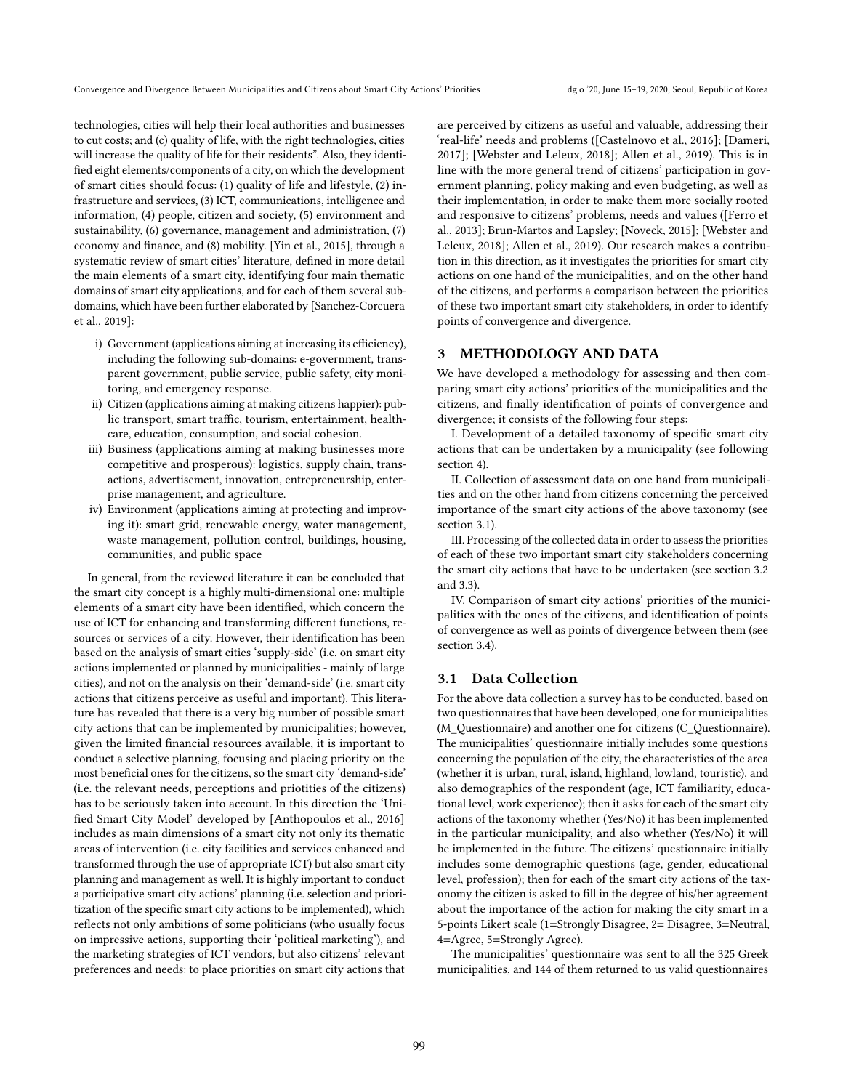technologies, cities will help their local authorities and businesses to cut costs; and (c) quality of life, with the right technologies, cities will increase the quality of life for their residents". Also, they identified eight elements/components of a city, on which the development of smart cities should focus: (1) quality of life and lifestyle, (2) infrastructure and services, (3) ICT, communications, intelligence and information, (4) people, citizen and society, (5) environment and sustainability, (6) governance, management and administration, (7) economy and finance, and (8) mobility. [\[Yin et al., 2015\]](#page-11-15), through a systematic review of smart cities' literature, defined in more detail the main elements of a smart city, identifying four main thematic domains of smart city applications, and for each of them several subdomains, which have been further elaborated by [\[Sanchez-Corcuera](#page-11-9) [et al., 2019\]](#page-11-9):

- i) Government (applications aiming at increasing its efficiency), including the following sub-domains: e-government, transparent government, public service, public safety, city monitoring, and emergency response.
- ii) Citizen (applications aiming at making citizens happier): public transport, smart traffic, tourism, entertainment, healthcare, education, consumption, and social cohesion.
- iii) Business (applications aiming at making businesses more competitive and prosperous): logistics, supply chain, transactions, advertisement, innovation, entrepreneurship, enterprise management, and agriculture.
- iv) Environment (applications aiming at protecting and improving it): smart grid, renewable energy, water management, waste management, pollution control, buildings, housing, communities, and public space

In general, from the reviewed literature it can be concluded that the smart city concept is a highly multi-dimensional one: multiple elements of a smart city have been identified, which concern the use of ICT for enhancing and transforming different functions, resources or services of a city. However, their identification has been based on the analysis of smart cities 'supply-side' (i.e. on smart city actions implemented or planned by municipalities - mainly of large cities), and not on the analysis on their 'demand-side' (i.e. smart city actions that citizens perceive as useful and important). This literature has revealed that there is a very big number of possible smart city actions that can be implemented by municipalities; however, given the limited financial resources available, it is important to conduct a selective planning, focusing and placing priority on the most beneficial ones for the citizens, so the smart city 'demand-side' (i.e. the relevant needs, perceptions and priotities of the citizens) has to be seriously taken into account. In this direction the 'Unified Smart City Model' developed by [\[Anthopoulos et al., 2016\]](#page-11-16) includes as main dimensions of a smart city not only its thematic areas of intervention (i.e. city facilities and services enhanced and transformed through the use of appropriate ICT) but also smart city planning and management as well. It is highly important to conduct a participative smart city actions' planning (i.e. selection and prioritization of the specific smart city actions to be implemented), which reflects not only ambitions of some politicians (who usually focus on impressive actions, supporting their 'political marketing'), and the marketing strategies of ICT vendors, but also citizens' relevant preferences and needs: to place priorities on smart city actions that

are perceived by citizens as useful and valuable, addressing their 'real-life' needs and problems ([\[Castelnovo et al., 2016\]](#page-11-17); [\[Dameri,](#page-11-18) [2017\]](#page-11-18); [\[Webster and Leleux, 2018\]](#page-11-19); Allen et al., 2019). This is in line with the more general trend of citizens' participation in government planning, policy making and even budgeting, as well as their implementation, in order to make them more socially rooted and responsive to citizens' problems, needs and values ([\[Ferro et](#page-11-20) [al., 2013\]](#page-11-20); Brun-Martos and Lapsley; [\[Noveck, 2015\]](#page-11-21); [\[Webster and](#page-11-19) [Leleux, 2018\]](#page-11-19); Allen et al., 2019). Our research makes a contribution in this direction, as it investigates the priorities for smart city actions on one hand of the municipalities, and on the other hand of the citizens, and performs a comparison between the priorities of these two important smart city stakeholders, in order to identify points of convergence and divergence.

# 3 METHODOLOGY AND DATA

We have developed a methodology for assessing and then comparing smart city actions' priorities of the municipalities and the citizens, and finally identification of points of convergence and divergence; it consists of the following four steps:

I. Development of a detailed taxonomy of specific smart city actions that can be undertaken by a municipality (see following section 4).

II. Collection of assessment data on one hand from municipalities and on the other hand from citizens concerning the perceived importance of the smart city actions of the above taxonomy (see section 3.1).

III. Processing of the collected data in order to assess the priorities of each of these two important smart city stakeholders concerning the smart city actions that have to be undertaken (see section 3.2 and 3.3).

IV. Comparison of smart city actions' priorities of the municipalities with the ones of the citizens, and identification of points of convergence as well as points of divergence between them (see section 3.4).

#### 3.1 Data Collection

For the above data collection a survey has to be conducted, based on two questionnaires that have been developed, one for municipalities (M\_Questionnaire) and another one for citizens (C\_Questionnaire). The municipalities' questionnaire initially includes some questions concerning the population of the city, the characteristics of the area (whether it is urban, rural, island, highland, lowland, touristic), and also demographics of the respondent (age, ICT familiarity, educational level, work experience); then it asks for each of the smart city actions of the taxonomy whether (Yes/No) it has been implemented in the particular municipality, and also whether (Yes/No) it will be implemented in the future. The citizens' questionnaire initially includes some demographic questions (age, gender, educational level, profession); then for each of the smart city actions of the taxonomy the citizen is asked to fill in the degree of his/her agreement about the importance of the action for making the city smart in a 5-points Likert scale (1=Strongly Disagree, 2= Disagree, 3=Neutral, 4=Agree, 5=Strongly Agree).

The municipalities' questionnaire was sent to all the 325 Greek municipalities, and 144 of them returned to us valid questionnaires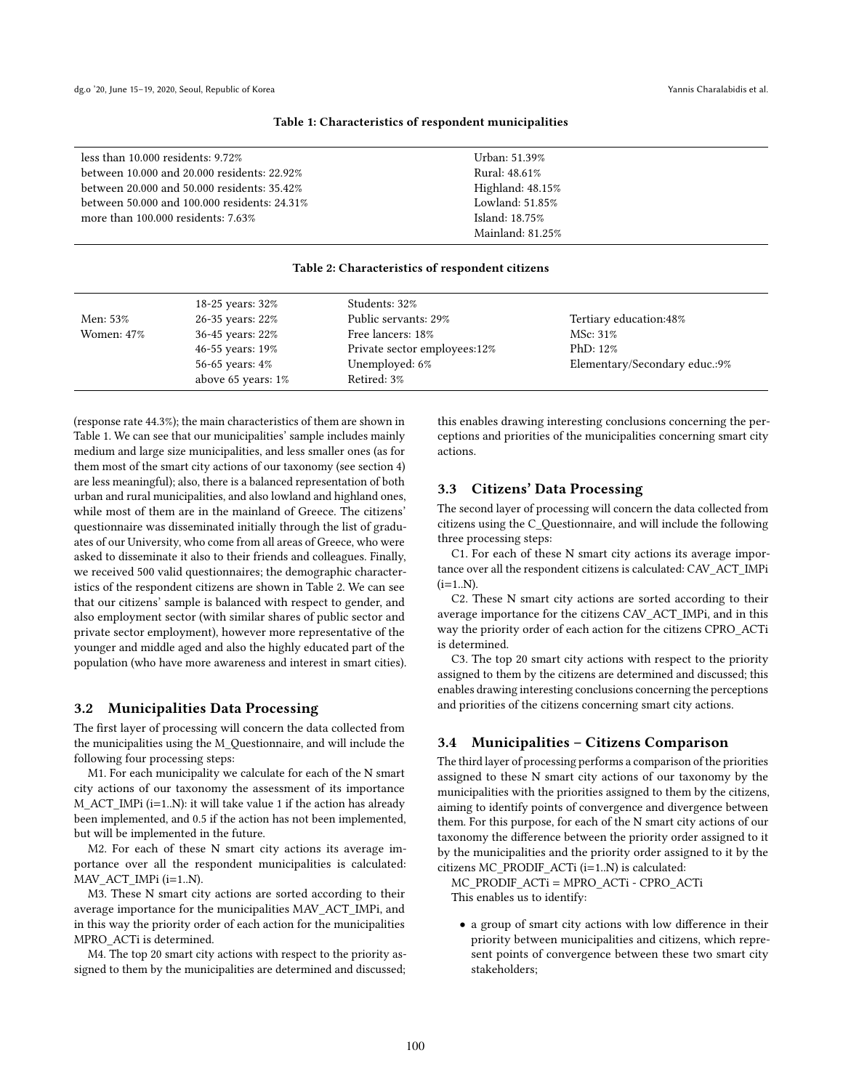#### Table 1: Characteristics of respondent municipalities

<span id="page-3-0"></span>

| less than $10.000$ residents: $9.72\%$             | Urban: 51.39%       |
|----------------------------------------------------|---------------------|
| between 10,000 and 20,000 residents: 22.92%        | Rural: 48.61%       |
| between $20.000$ and $50.000$ residents: $35.42\%$ | Highland: $48.15\%$ |
| between 50,000 and 100,000 residents: 24.31%       | Lowland: 51.85%     |
| more than $100.000$ residents: $7.63\%$            | Island: 18.75%      |
|                                                    | Mainland: 81.25%    |

#### Table 2: Characteristics of respondent citizens

<span id="page-3-1"></span>

|            | 18-25 years: 32%   | Students: 32%                 |                               |
|------------|--------------------|-------------------------------|-------------------------------|
| Men: 53%   | 26-35 years: 22%   | Public servants: 29%          | Tertiary education:48%        |
| Women: 47% | 36-45 years: 22%   | Free lancers: 18%<br>MSc: 31% |                               |
|            | 46-55 years: 19%   | Private sector employees:12%  | PhD: $12\%$                   |
|            | 56-65 years: 4%    | Unemployed: 6%                | Elementary/Secondary educ.:9% |
|            | above 65 years: 1% | Retired: 3%                   |                               |

(response rate 44.3%); the main characteristics of them are shown in Table [1.](#page-3-0) We can see that our municipalities' sample includes mainly medium and large size municipalities, and less smaller ones (as for them most of the smart city actions of our taxonomy (see section 4) are less meaningful); also, there is a balanced representation of both urban and rural municipalities, and also lowland and highland ones, while most of them are in the mainland of Greece. The citizens' questionnaire was disseminated initially through the list of graduates of our University, who come from all areas of Greece, who were asked to disseminate it also to their friends and colleagues. Finally, we received 500 valid questionnaires; the demographic characteristics of the respondent citizens are shown in Table [2.](#page-3-1) We can see that our citizens' sample is balanced with respect to gender, and also employment sector (with similar shares of public sector and private sector employment), however more representative of the younger and middle aged and also the highly educated part of the population (who have more awareness and interest in smart cities).

#### 3.2 Municipalities Data Processing

The first layer of processing will concern the data collected from the municipalities using the M\_Questionnaire, and will include the following four processing steps:

M1. For each municipality we calculate for each of the N smart city actions of our taxonomy the assessment of its importance M\_ACT\_IMPi (i=1..N): it will take value 1 if the action has already been implemented, and 0.5 if the action has not been implemented, but will be implemented in the future.

M2. For each of these N smart city actions its average importance over all the respondent municipalities is calculated: MAV\_ACT\_IMPi (i=1..N).

M3. These N smart city actions are sorted according to their average importance for the municipalities MAV\_ACT\_IMPi, and in this way the priority order of each action for the municipalities MPRO\_ACTi is determined.

M4. The top 20 smart city actions with respect to the priority assigned to them by the municipalities are determined and discussed;

this enables drawing interesting conclusions concerning the perceptions and priorities of the municipalities concerning smart city actions.

## 3.3 Citizens' Data Processing

The second layer of processing will concern the data collected from citizens using the C\_Questionnaire, and will include the following three processing steps:

C1. For each of these N smart city actions its average importance over all the respondent citizens is calculated: CAV\_ACT\_IMPi  $(i=1..N)$ .

C2. These N smart city actions are sorted according to their average importance for the citizens CAV\_ACT\_IMPi, and in this way the priority order of each action for the citizens CPRO\_ACTi is determined.

C3. The top 20 smart city actions with respect to the priority assigned to them by the citizens are determined and discussed; this enables drawing interesting conclusions concerning the perceptions and priorities of the citizens concerning smart city actions.

## 3.4 Municipalities – Citizens Comparison

The third layer of processing performs a comparison of the priorities assigned to these N smart city actions of our taxonomy by the municipalities with the priorities assigned to them by the citizens, aiming to identify points of convergence and divergence between them. For this purpose, for each of the N smart city actions of our taxonomy the difference between the priority order assigned to it by the municipalities and the priority order assigned to it by the citizens MC\_PRODIF\_ACTi (i=1..N) is calculated:

MC\_PRODIF\_ACTi = MPRO\_ACTi - CPRO\_ACTi This enables us to identify:

• a group of smart city actions with low difference in their priority between municipalities and citizens, which represent points of convergence between these two smart city stakeholders;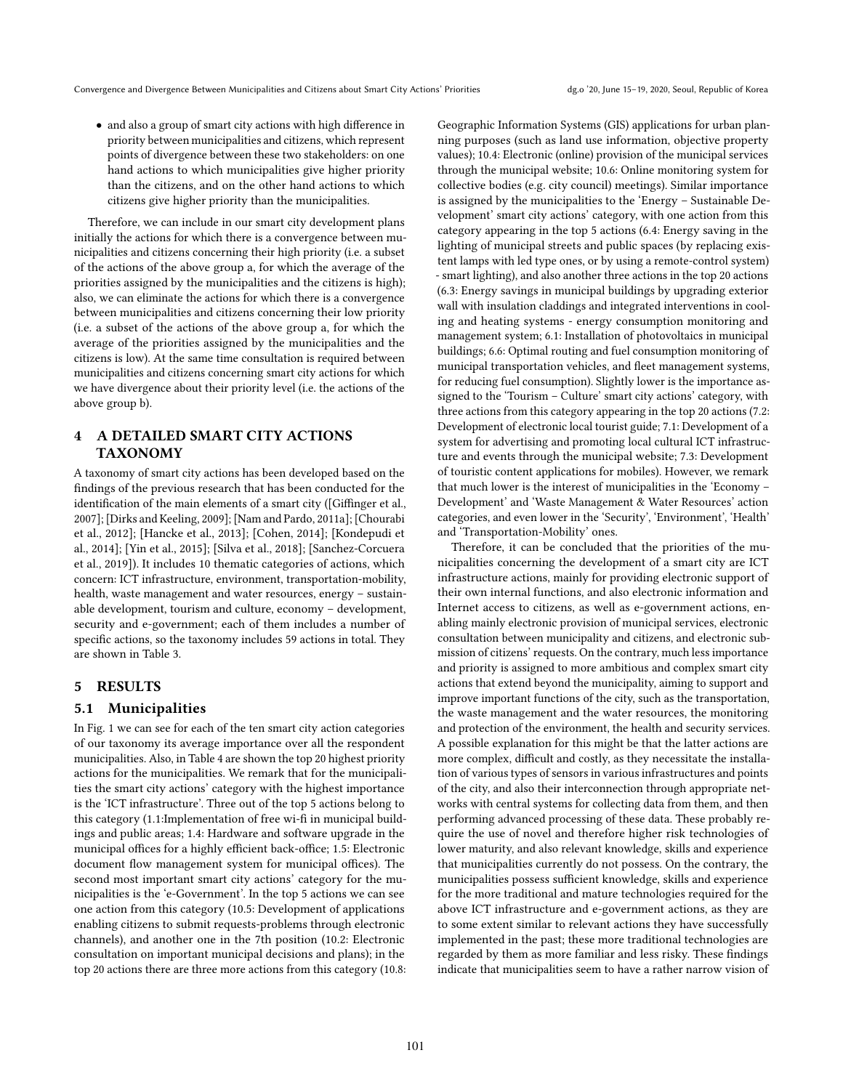• and also a group of smart city actions with high difference in priority between municipalities and citizens, which represent points of divergence between these two stakeholders: on one hand actions to which municipalities give higher priority than the citizens, and on the other hand actions to which citizens give higher priority than the municipalities.

Therefore, we can include in our smart city development plans initially the actions for which there is a convergence between municipalities and citizens concerning their high priority (i.e. a subset of the actions of the above group a, for which the average of the priorities assigned by the municipalities and the citizens is high); also, we can eliminate the actions for which there is a convergence between municipalities and citizens concerning their low priority (i.e. a subset of the actions of the above group a, for which the average of the priorities assigned by the municipalities and the citizens is low). At the same time consultation is required between municipalities and citizens concerning smart city actions for which we have divergence about their priority level (i.e. the actions of the above group b).

# 4 A DETAILED SMART CITY ACTIONS TAXONOMY

A taxonomy of smart city actions has been developed based on the findings of the previous research that has been conducted for the identification of the main elements of a smart city ([\[Giffinger et al.,](#page-11-6) [2007\]](#page-11-6); [\[Dirks and Keeling, 2009\]](#page-11-13); [\[Nam and Pardo, 2011a\]](#page-11-1); [\[Chourabi](#page-11-2) [et al., 2012\]](#page-11-2); [\[Hancke et al., 2013\]](#page-11-14); [\[Cohen, 2014\]](#page-11-7); [\[Kondepudi et](#page-11-5) [al., 2014\]](#page-11-5); [\[Yin et al., 2015\]](#page-11-15); [\[Silva et al., 2018\]](#page-11-11); [\[Sanchez-Corcuera](#page-11-9) [et al., 2019\]](#page-11-9)). It includes 10 thematic categories of actions, which concern: ICT infrastructure, environment, transportation-mobility, health, waste management and water resources, energy – sustainable development, tourism and culture, economy – development, security and e-government; each of them includes a number of specific actions, so the taxonomy includes 59 actions in total. They are shown in Table [3.](#page-5-0)

## 5 RESULTS

## 5.1 Municipalities

In Fig. [1](#page-6-0) we can see for each of the ten smart city action categories of our taxonomy its average importance over all the respondent municipalities. Also, in Table [4](#page-7-0) are shown the top 20 highest priority actions for the municipalities. We remark that for the municipalities the smart city actions' category with the highest importance is the 'ICT infrastructure'. Three out of the top 5 actions belong to this category (1.1:Implementation of free wi-fi in municipal buildings and public areas; 1.4: Hardware and software upgrade in the municipal offices for a highly efficient back-office; 1.5: Electronic document flow management system for municipal offices). The second most important smart city actions' category for the municipalities is the 'e-Government'. In the top 5 actions we can see one action from this category (10.5: Development of applications enabling citizens to submit requests-problems through electronic channels), and another one in the 7th position (10.2: Electronic consultation on important municipal decisions and plans); in the top 20 actions there are three more actions from this category (10.8:

Geographic Information Systems (GIS) applications for urban planning purposes (such as land use information, objective property values); 10.4: Electronic (online) provision of the municipal services through the municipal website; 10.6: Online monitoring system for collective bodies (e.g. city council) meetings). Similar importance is assigned by the municipalities to the 'Energy – Sustainable Development' smart city actions' category, with one action from this category appearing in the top 5 actions (6.4: Energy saving in the lighting of municipal streets and public spaces (by replacing existent lamps with led type ones, or by using a remote-control system) - smart lighting), and also another three actions in the top 20 actions (6.3: Energy savings in municipal buildings by upgrading exterior wall with insulation claddings and integrated interventions in cooling and heating systems - energy consumption monitoring and management system; 6.1: Installation of photovoltaics in municipal buildings; 6.6: Optimal routing and fuel consumption monitoring of municipal transportation vehicles, and fleet management systems, for reducing fuel consumption). Slightly lower is the importance assigned to the 'Tourism – Culture' smart city actions' category, with three actions from this category appearing in the top 20 actions (7.2: Development of electronic local tourist guide; 7.1: Development of a system for advertising and promoting local cultural ICT infrastructure and events through the municipal website; 7.3: Development of touristic content applications for mobiles). However, we remark that much lower is the interest of municipalities in the 'Economy – Development' and 'Waste Management & Water Resources' action categories, and even lower in the 'Security', 'Environment', 'Health' and 'Transportation-Mobility' ones.

Therefore, it can be concluded that the priorities of the municipalities concerning the development of a smart city are ICT infrastructure actions, mainly for providing electronic support of their own internal functions, and also electronic information and Internet access to citizens, as well as e-government actions, enabling mainly electronic provision of municipal services, electronic consultation between municipality and citizens, and electronic submission of citizens' requests. On the contrary, much less importance and priority is assigned to more ambitious and complex smart city actions that extend beyond the municipality, aiming to support and improve important functions of the city, such as the transportation, the waste management and the water resources, the monitoring and protection of the environment, the health and security services. A possible explanation for this might be that the latter actions are more complex, difficult and costly, as they necessitate the installation of various types of sensors in various infrastructures and points of the city, and also their interconnection through appropriate networks with central systems for collecting data from them, and then performing advanced processing of these data. These probably require the use of novel and therefore higher risk technologies of lower maturity, and also relevant knowledge, skills and experience that municipalities currently do not possess. On the contrary, the municipalities possess sufficient knowledge, skills and experience for the more traditional and mature technologies required for the above ICT infrastructure and e-government actions, as they are to some extent similar to relevant actions they have successfully implemented in the past; these more traditional technologies are regarded by them as more familiar and less risky. These findings indicate that municipalities seem to have a rather narrow vision of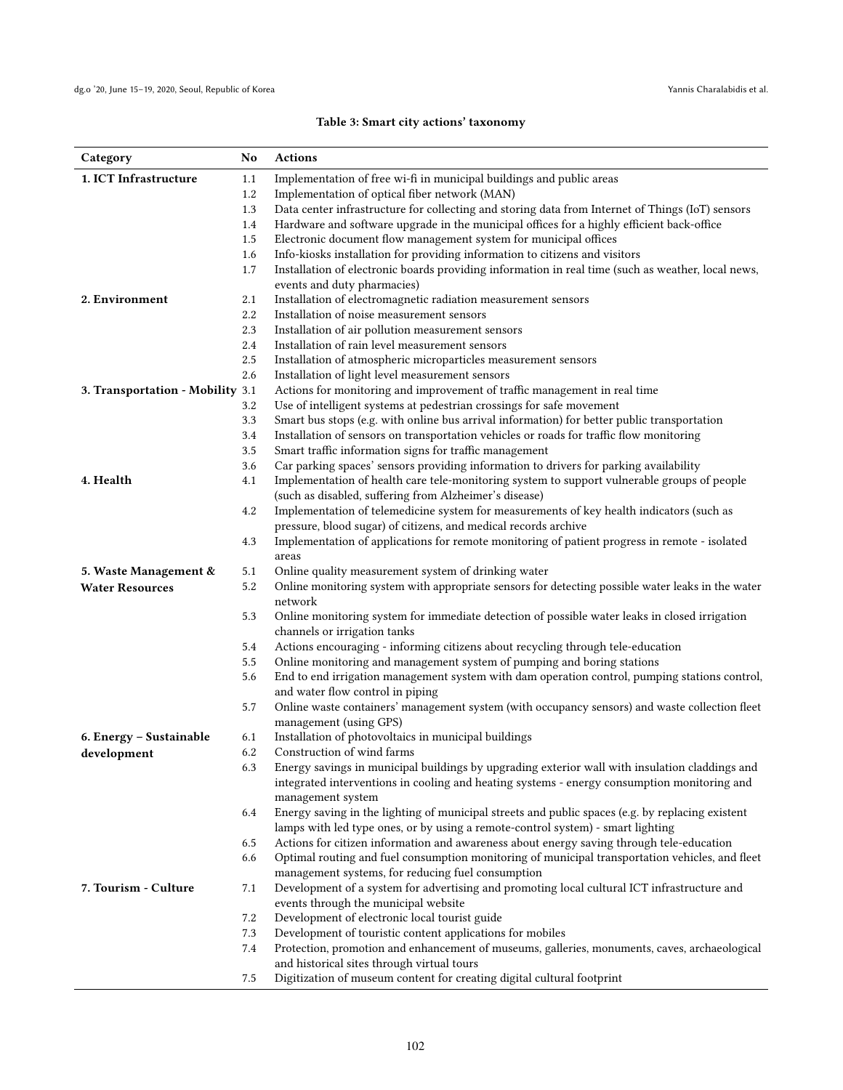# Table 3: Smart city actions' taxonomy

<span id="page-5-0"></span>

| Category                         | No         | <b>Actions</b>                                                                                                                                       |
|----------------------------------|------------|------------------------------------------------------------------------------------------------------------------------------------------------------|
| 1. ICT Infrastructure            | 1.1        | Implementation of free wi-fi in municipal buildings and public areas                                                                                 |
|                                  | 1.2        | Implementation of optical fiber network (MAN)                                                                                                        |
|                                  | 1.3        | Data center infrastructure for collecting and storing data from Internet of Things (IoT) sensors                                                     |
|                                  | 1.4        | Hardware and software upgrade in the municipal offices for a highly efficient back-office                                                            |
|                                  | 1.5        | Electronic document flow management system for municipal offices                                                                                     |
|                                  | 1.6        | Info-kiosks installation for providing information to citizens and visitors                                                                          |
|                                  | 1.7        | Installation of electronic boards providing information in real time (such as weather, local news,                                                   |
|                                  |            | events and duty pharmacies)                                                                                                                          |
| 2. Environment                   | 2.1        | Installation of electromagnetic radiation measurement sensors                                                                                        |
|                                  | 2.2        | Installation of noise measurement sensors                                                                                                            |
|                                  | 2.3        | Installation of air pollution measurement sensors                                                                                                    |
|                                  | 2.4        | Installation of rain level measurement sensors                                                                                                       |
|                                  | 2.5<br>2.6 | Installation of atmospheric microparticles measurement sensors<br>Installation of light level measurement sensors                                    |
|                                  |            | Actions for monitoring and improvement of traffic management in real time                                                                            |
| 3. Transportation - Mobility 3.1 | 3.2        | Use of intelligent systems at pedestrian crossings for safe movement                                                                                 |
|                                  | 3.3        | Smart bus stops (e.g. with online bus arrival information) for better public transportation                                                          |
|                                  | 3.4        | Installation of sensors on transportation vehicles or roads for traffic flow monitoring                                                              |
|                                  | 3.5        | Smart traffic information signs for traffic management                                                                                               |
|                                  | 3.6        | Car parking spaces' sensors providing information to drivers for parking availability                                                                |
| 4. Health                        | 4.1        | Implementation of health care tele-monitoring system to support vulnerable groups of people                                                          |
|                                  |            | (such as disabled, suffering from Alzheimer's disease)                                                                                               |
|                                  | 4.2        | Implementation of telemedicine system for measurements of key health indicators (such as                                                             |
|                                  |            | pressure, blood sugar) of citizens, and medical records archive                                                                                      |
|                                  | 4.3        | Implementation of applications for remote monitoring of patient progress in remote - isolated                                                        |
|                                  |            | areas                                                                                                                                                |
| 5. Waste Management &            | 5.1        | Online quality measurement system of drinking water                                                                                                  |
| <b>Water Resources</b>           | 5.2        | Online monitoring system with appropriate sensors for detecting possible water leaks in the water                                                    |
|                                  |            | network                                                                                                                                              |
|                                  | 5.3        | Online monitoring system for immediate detection of possible water leaks in closed irrigation                                                        |
|                                  | 5.4        | channels or irrigation tanks<br>Actions encouraging - informing citizens about recycling through tele-education                                      |
|                                  | 5.5        | Online monitoring and management system of pumping and boring stations                                                                               |
|                                  | 5.6        | End to end irrigation management system with dam operation control, pumping stations control,                                                        |
|                                  |            | and water flow control in piping                                                                                                                     |
|                                  | 5.7        | Online waste containers' management system (with occupancy sensors) and waste collection fleet                                                       |
|                                  |            | management (using GPS)                                                                                                                               |
| 6. Energy – Sustainable          | 6.1        | Installation of photovoltaics in municipal buildings                                                                                                 |
| development                      | 6.2        | Construction of wind farms                                                                                                                           |
|                                  | 6.3        | Energy savings in municipal buildings by upgrading exterior wall with insulation claddings and                                                       |
|                                  |            | integrated interventions in cooling and heating systems - energy consumption monitoring and                                                          |
|                                  |            | management system                                                                                                                                    |
|                                  | 6.4        | Energy saving in the lighting of municipal streets and public spaces (e.g. by replacing existent                                                     |
|                                  |            | lamps with led type ones, or by using a remote-control system) - smart lighting                                                                      |
|                                  | 6.5        | Actions for citizen information and awareness about energy saving through tele-education                                                             |
|                                  | 6.6        | Optimal routing and fuel consumption monitoring of municipal transportation vehicles, and fleet<br>management systems, for reducing fuel consumption |
| 7. Tourism - Culture             | 7.1        | Development of a system for advertising and promoting local cultural ICT infrastructure and                                                          |
|                                  |            | events through the municipal website                                                                                                                 |
|                                  | 7.2        | Development of electronic local tourist guide                                                                                                        |
|                                  | 7.3        | Development of touristic content applications for mobiles                                                                                            |
|                                  | 7.4        | Protection, promotion and enhancement of museums, galleries, monuments, caves, archaeological                                                        |
|                                  |            | and historical sites through virtual tours                                                                                                           |
|                                  | 7.5        | Digitization of museum content for creating digital cultural footprint                                                                               |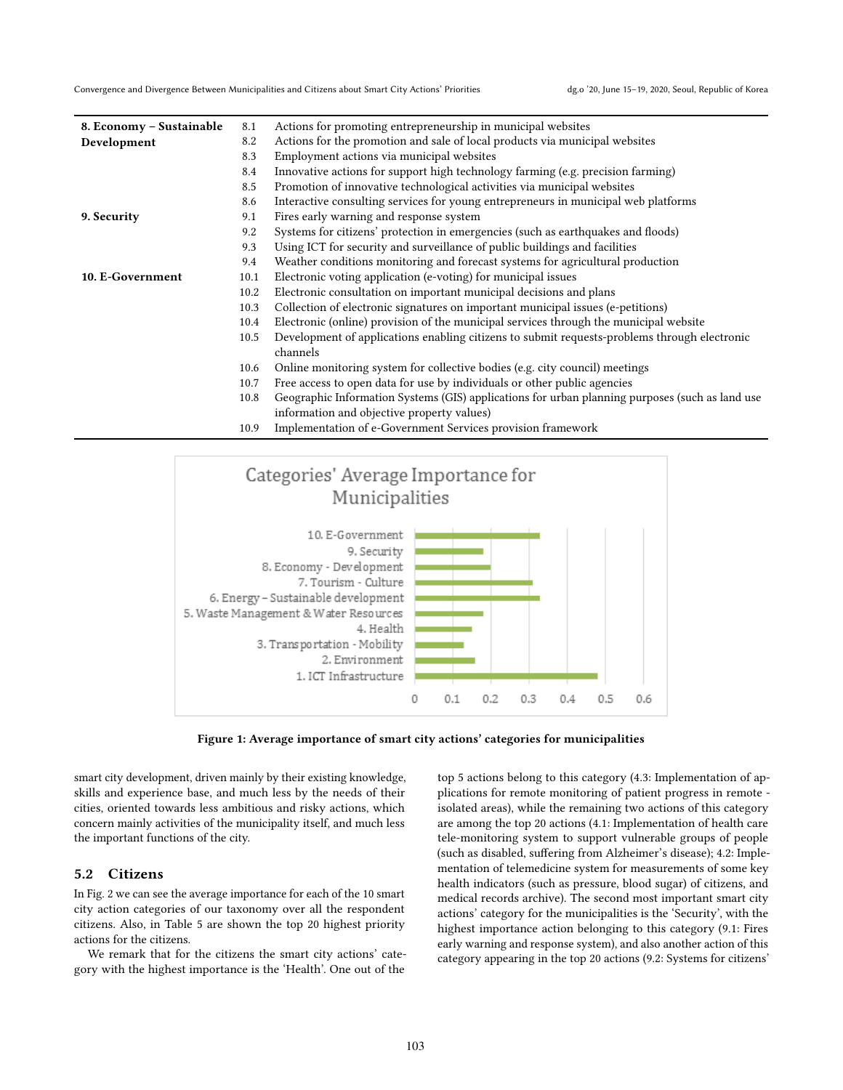Convergence and Divergence Between Municipalities and Citizens about Smart City Actions' Priorities dg.o '20, June 15-19, 2020, Seoul, Republic of Korea

| 8. Economy – Sustainable | 8.1  | Actions for promoting entrepreneurship in municipal websites                                    |
|--------------------------|------|-------------------------------------------------------------------------------------------------|
| Development              | 8.2  | Actions for the promotion and sale of local products via municipal websites                     |
|                          | 8.3  | Employment actions via municipal websites                                                       |
|                          | 8.4  | Innovative actions for support high technology farming (e.g. precision farming)                 |
|                          | 8.5  | Promotion of innovative technological activities via municipal websites                         |
|                          | 8.6  | Interactive consulting services for young entrepreneurs in municipal web platforms              |
| 9. Security              | 9.1  | Fires early warning and response system                                                         |
|                          | 9.2  | Systems for citizens' protection in emergencies (such as earthquakes and floods)                |
|                          | 9.3  | Using ICT for security and surveillance of public buildings and facilities                      |
|                          | 9.4  | Weather conditions monitoring and forecast systems for agricultural production                  |
| 10. E-Government         | 10.1 | Electronic voting application (e-voting) for municipal issues                                   |
|                          | 10.2 | Electronic consultation on important municipal decisions and plans                              |
|                          | 10.3 | Collection of electronic signatures on important municipal issues (e-petitions)                 |
|                          | 10.4 | Electronic (online) provision of the municipal services through the municipal website           |
|                          | 10.5 | Development of applications enabling citizens to submit requests-problems through electronic    |
|                          |      | channels                                                                                        |
|                          | 10.6 | Online monitoring system for collective bodies (e.g. city council) meetings                     |
|                          | 10.7 | Free access to open data for use by individuals or other public agencies                        |
|                          | 10.8 | Geographic Information Systems (GIS) applications for urban planning purposes (such as land use |
|                          |      | information and objective property values)                                                      |
|                          | 10.9 | Implementation of e-Government Services provision framework                                     |

<span id="page-6-0"></span>



smart city development, driven mainly by their existing knowledge, skills and experience base, and much less by the needs of their cities, oriented towards less ambitious and risky actions, which concern mainly activities of the municipality itself, and much less the important functions of the city.

#### 5.2 Citizens

In Fig. [2](#page-8-0) we can see the average importance for each of the 10 smart city action categories of our taxonomy over all the respondent citizens. Also, in Table [5](#page-8-1) are shown the top 20 highest priority actions for the citizens.

We remark that for the citizens the smart city actions' category with the highest importance is the 'Health'. One out of the

top 5 actions belong to this category (4.3: Implementation of applications for remote monitoring of patient progress in remote isolated areas), while the remaining two actions of this category are among the top 20 actions (4.1: Implementation of health care tele-monitoring system to support vulnerable groups of people (such as disabled, suffering from Alzheimer's disease); 4.2: Implementation of telemedicine system for measurements of some key health indicators (such as pressure, blood sugar) of citizens, and medical records archive). The second most important smart city actions' category for the municipalities is the 'Security', with the highest importance action belonging to this category (9.1: Fires early warning and response system), and also another action of this category appearing in the top 20 actions (9.2: Systems for citizens'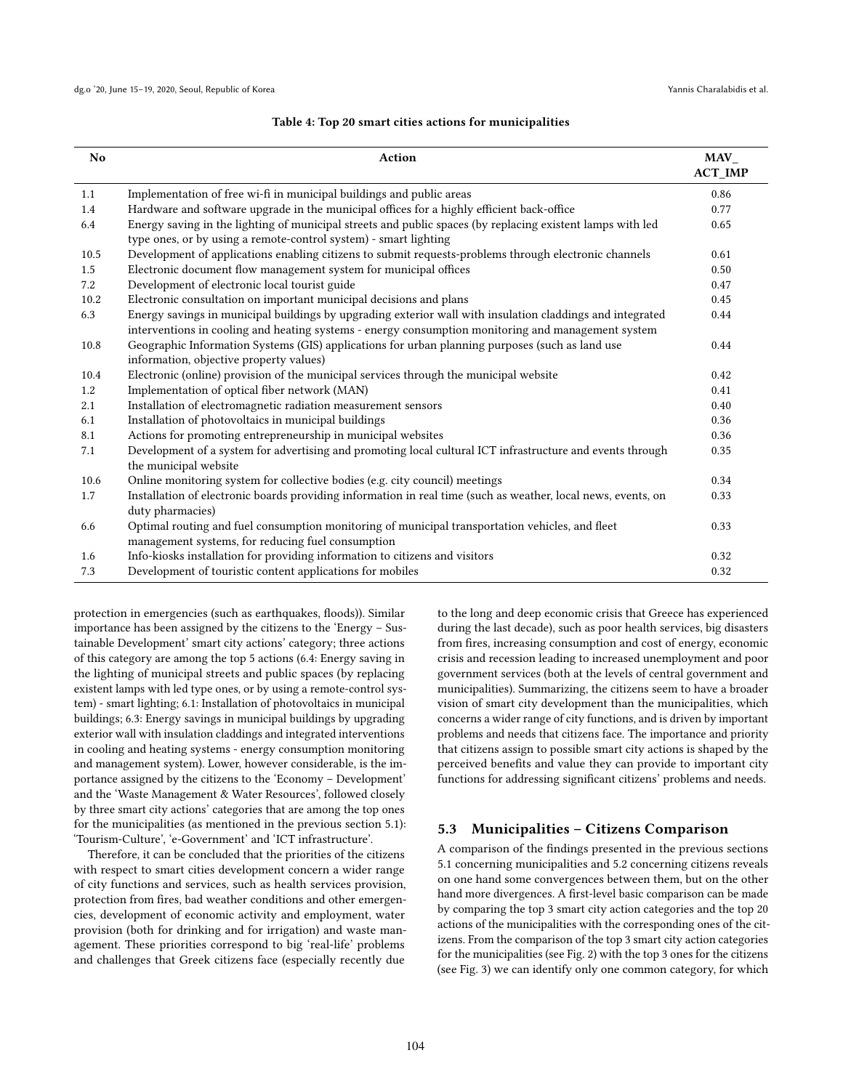<span id="page-7-0"></span>

| No   | Action                                                                                                                                                                                                          | $MAV_$<br><b>ACT_IMP</b> |
|------|-----------------------------------------------------------------------------------------------------------------------------------------------------------------------------------------------------------------|--------------------------|
| 1.1  | Implementation of free wi-fi in municipal buildings and public areas                                                                                                                                            | 0.86                     |
| 1.4  | Hardware and software upgrade in the municipal offices for a highly efficient back-office                                                                                                                       | 0.77                     |
| 6.4  | Energy saving in the lighting of municipal streets and public spaces (by replacing existent lamps with led<br>type ones, or by using a remote-control system) - smart lighting                                  | 0.65                     |
| 10.5 | Development of applications enabling citizens to submit requests-problems through electronic channels                                                                                                           | 0.61                     |
| 1.5  | Electronic document flow management system for municipal offices                                                                                                                                                | 0.50                     |
| 7.2  | Development of electronic local tourist guide                                                                                                                                                                   | 0.47                     |
| 10.2 | Electronic consultation on important municipal decisions and plans                                                                                                                                              | 0.45                     |
| 6.3  | Energy savings in municipal buildings by upgrading exterior wall with insulation claddings and integrated<br>interventions in cooling and heating systems - energy consumption monitoring and management system | 0.44                     |
| 10.8 | Geographic Information Systems (GIS) applications for urban planning purposes (such as land use<br>information, objective property values)                                                                      | 0.44                     |
| 10.4 | Electronic (online) provision of the municipal services through the municipal website                                                                                                                           | 0.42                     |
| 1.2  | Implementation of optical fiber network (MAN)                                                                                                                                                                   | 0.41                     |
| 2.1  | Installation of electromagnetic radiation measurement sensors                                                                                                                                                   | 0.40                     |
| 6.1  | Installation of photovoltaics in municipal buildings                                                                                                                                                            | 0.36                     |
| 8.1  | Actions for promoting entrepreneurship in municipal websites                                                                                                                                                    | 0.36                     |
| 7.1  | Development of a system for advertising and promoting local cultural ICT infrastructure and events through<br>the municipal website                                                                             | 0.35                     |
| 10.6 | Online monitoring system for collective bodies (e.g. city council) meetings                                                                                                                                     | 0.34                     |
| 1.7  | Installation of electronic boards providing information in real time (such as weather, local news, events, on<br>duty pharmacies)                                                                               | 0.33                     |
| 6.6  | Optimal routing and fuel consumption monitoring of municipal transportation vehicles, and fleet<br>management systems, for reducing fuel consumption                                                            | 0.33                     |
| 1.6  | Info-kiosks installation for providing information to citizens and visitors                                                                                                                                     | 0.32                     |
| 7.3  | Development of touristic content applications for mobiles                                                                                                                                                       | 0.32                     |

#### Table 4: Top 20 smart cities actions for municipalities

protection in emergencies (such as earthquakes, floods)). Similar importance has been assigned by the citizens to the 'Energy – Sustainable Development' smart city actions' category; three actions of this category are among the top 5 actions (6.4: Energy saving in the lighting of municipal streets and public spaces (by replacing existent lamps with led type ones, or by using a remote-control system) - smart lighting; 6.1: Installation of photovoltaics in municipal buildings; 6.3: Energy savings in municipal buildings by upgrading exterior wall with insulation claddings and integrated interventions in cooling and heating systems - energy consumption monitoring and management system). Lower, however considerable, is the importance assigned by the citizens to the 'Economy – Development' and the 'Waste Management & Water Resources', followed closely by three smart city actions' categories that are among the top ones for the municipalities (as mentioned in the previous section 5.1): 'Tourism-Culture', 'e-Government' and 'ICT infrastructure'.

Therefore, it can be concluded that the priorities of the citizens with respect to smart cities development concern a wider range of city functions and services, such as health services provision, protection from fires, bad weather conditions and other emergencies, development of economic activity and employment, water provision (both for drinking and for irrigation) and waste management. These priorities correspond to big 'real-life' problems and challenges that Greek citizens face (especially recently due

to the long and deep economic crisis that Greece has experienced during the last decade), such as poor health services, big disasters from fires, increasing consumption and cost of energy, economic crisis and recession leading to increased unemployment and poor government services (both at the levels of central government and municipalities). Summarizing, the citizens seem to have a broader vision of smart city development than the municipalities, which concerns a wider range of city functions, and is driven by important problems and needs that citizens face. The importance and priority that citizens assign to possible smart city actions is shaped by the perceived benefits and value they can provide to important city functions for addressing significant citizens' problems and needs.

## 5.3 Municipalities – Citizens Comparison

A comparison of the findings presented in the previous sections 5.1 concerning municipalities and 5.2 concerning citizens reveals on one hand some convergences between them, but on the other hand more divergences. A first-level basic comparison can be made by comparing the top 3 smart city action categories and the top 20 actions of the municipalities with the corresponding ones of the citizens. From the comparison of the top 3 smart city action categories for the municipalities (see Fig. [2\)](#page-8-0) with the top 3 ones for the citizens (see Fig. [3\)](#page-10-0) we can identify only one common category, for which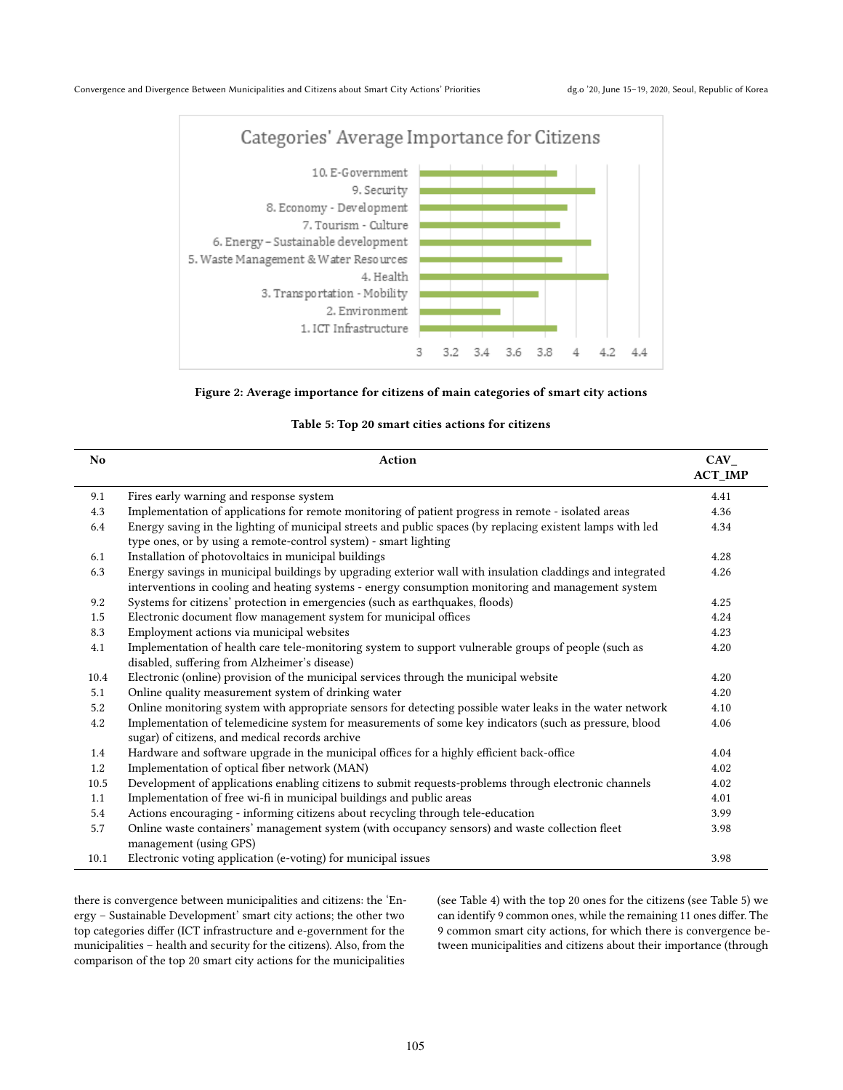<span id="page-8-0"></span>



## Table 5: Top 20 smart cities actions for citizens

<span id="page-8-1"></span>

| N <sub>o</sub> | Action                                                                                                                                                                                                          | <b>CAV</b><br><b>ACT_IMP</b> |
|----------------|-----------------------------------------------------------------------------------------------------------------------------------------------------------------------------------------------------------------|------------------------------|
| 9.1            | Fires early warning and response system                                                                                                                                                                         | 4.41                         |
| 4.3            | Implementation of applications for remote monitoring of patient progress in remote - isolated areas                                                                                                             | 4.36                         |
| 6.4            | Energy saving in the lighting of municipal streets and public spaces (by replacing existent lamps with led<br>type ones, or by using a remote-control system) - smart lighting                                  | 4.34                         |
| 6.1            | Installation of photovoltaics in municipal buildings                                                                                                                                                            | 4.28                         |
| 6.3            | Energy savings in municipal buildings by upgrading exterior wall with insulation claddings and integrated<br>interventions in cooling and heating systems - energy consumption monitoring and management system | 4.26                         |
| 9.2            | Systems for citizens' protection in emergencies (such as earthquakes, floods)                                                                                                                                   | 4.25                         |
| 1.5            | Electronic document flow management system for municipal offices                                                                                                                                                | 4.24                         |
| 8.3            | Employment actions via municipal websites                                                                                                                                                                       | 4.23                         |
| 4.1            | Implementation of health care tele-monitoring system to support vulnerable groups of people (such as<br>disabled, suffering from Alzheimer's disease)                                                           | 4.20                         |
| 10.4           | Electronic (online) provision of the municipal services through the municipal website                                                                                                                           | 4.20                         |
| 5.1            | Online quality measurement system of drinking water                                                                                                                                                             | 4.20                         |
| 5.2            | Online monitoring system with appropriate sensors for detecting possible water leaks in the water network                                                                                                       | 4.10                         |
| 4.2            | Implementation of telemedicine system for measurements of some key indicators (such as pressure, blood<br>sugar) of citizens, and medical records archive                                                       | 4.06                         |
| 1.4            | Hardware and software upgrade in the municipal offices for a highly efficient back-office                                                                                                                       | 4.04                         |
| 1.2            | Implementation of optical fiber network (MAN)                                                                                                                                                                   | 4.02                         |
| 10.5           | Development of applications enabling citizens to submit requests-problems through electronic channels                                                                                                           | 4.02                         |
| 1.1            | Implementation of free wi-fi in municipal buildings and public areas                                                                                                                                            | 4.01                         |
| 5.4            | Actions encouraging - informing citizens about recycling through tele-education                                                                                                                                 | 3.99                         |
| 5.7            | Online waste containers' management system (with occupancy sensors) and waste collection fleet<br>management (using GPS)                                                                                        | 3.98                         |
| 10.1           | Electronic voting application (e-voting) for municipal issues                                                                                                                                                   | 3.98                         |

there is convergence between municipalities and citizens: the 'Energy – Sustainable Development' smart city actions; the other two top categories differ (ICT infrastructure and e-government for the municipalities – health and security for the citizens). Also, from the comparison of the top 20 smart city actions for the municipalities

(see Table [4\)](#page-7-0) with the top 20 ones for the citizens (see Table [5\)](#page-8-1) we can identify 9 common ones, while the remaining 11 ones differ. The 9 common smart city actions, for which there is convergence between municipalities and citizens about their importance (through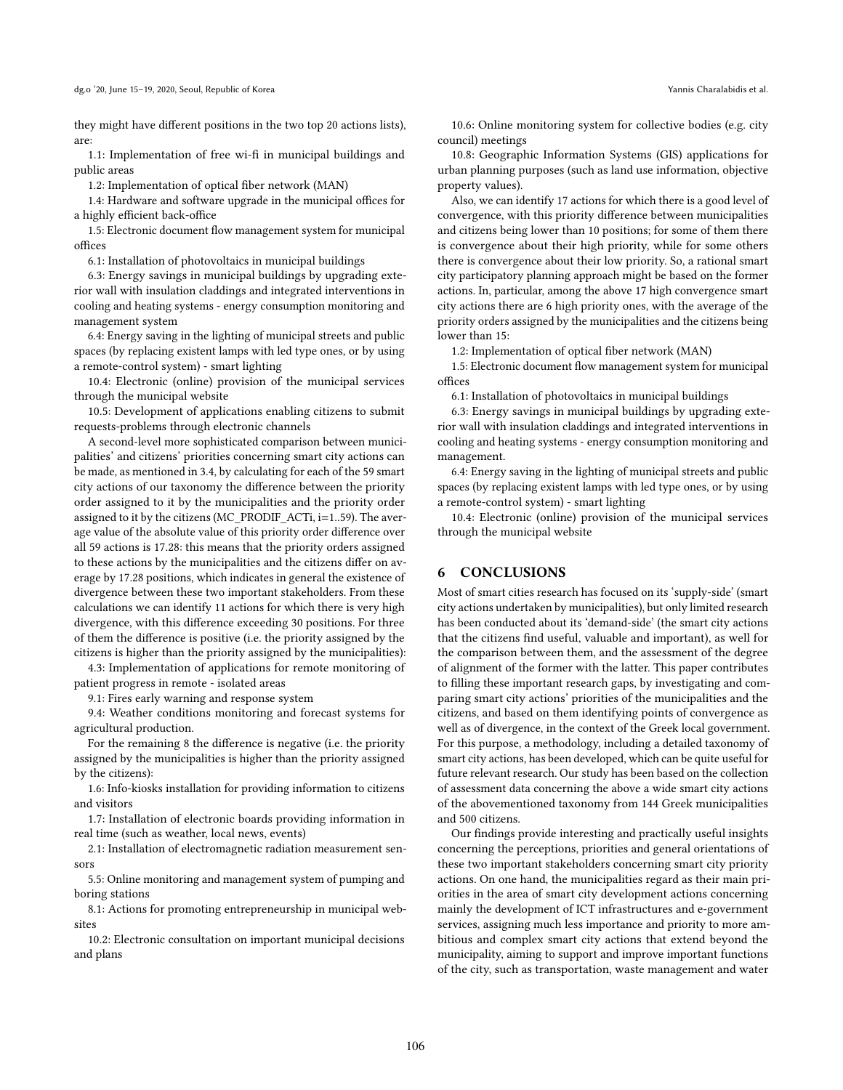they might have different positions in the two top 20 actions lists), are:

1.1: Implementation of free wi-fi in municipal buildings and public areas

1.2: Implementation of optical fiber network (MAN)

1.4: Hardware and software upgrade in the municipal offices for a highly efficient back-office

1.5: Electronic document flow management system for municipal offices

6.1: Installation of photovoltaics in municipal buildings

6.3: Energy savings in municipal buildings by upgrading exterior wall with insulation claddings and integrated interventions in cooling and heating systems - energy consumption monitoring and management system

6.4: Energy saving in the lighting of municipal streets and public spaces (by replacing existent lamps with led type ones, or by using a remote-control system) - smart lighting

10.4: Electronic (online) provision of the municipal services through the municipal website

10.5: Development of applications enabling citizens to submit requests-problems through electronic channels

A second-level more sophisticated comparison between municipalities' and citizens' priorities concerning smart city actions can be made, as mentioned in 3.4, by calculating for each of the 59 smart city actions of our taxonomy the difference between the priority order assigned to it by the municipalities and the priority order assigned to it by the citizens (MC\_PRODIF\_ACTi, i=1..59). The average value of the absolute value of this priority order difference over all 59 actions is 17.28: this means that the priority orders assigned to these actions by the municipalities and the citizens differ on average by 17.28 positions, which indicates in general the existence of divergence between these two important stakeholders. From these calculations we can identify 11 actions for which there is very high divergence, with this difference exceeding 30 positions. For three of them the difference is positive (i.e. the priority assigned by the citizens is higher than the priority assigned by the municipalities):

4.3: Implementation of applications for remote monitoring of patient progress in remote - isolated areas

9.1: Fires early warning and response system

9.4: Weather conditions monitoring and forecast systems for agricultural production.

For the remaining 8 the difference is negative (i.e. the priority assigned by the municipalities is higher than the priority assigned by the citizens):

1.6: Info-kiosks installation for providing information to citizens and visitors

1.7: Installation of electronic boards providing information in real time (such as weather, local news, events)

2.1: Installation of electromagnetic radiation measurement sensors

5.5: Online monitoring and management system of pumping and boring stations

8.1: Actions for promoting entrepreneurship in municipal websites

10.2: Electronic consultation on important municipal decisions and plans

10.6: Online monitoring system for collective bodies (e.g. city council) meetings

10.8: Geographic Information Systems (GIS) applications for urban planning purposes (such as land use information, objective property values).

Also, we can identify 17 actions for which there is a good level of convergence, with this priority difference between municipalities and citizens being lower than 10 positions; for some of them there is convergence about their high priority, while for some others there is convergence about their low priority. So, a rational smart city participatory planning approach might be based on the former actions. In, particular, among the above 17 high convergence smart city actions there are 6 high priority ones, with the average of the priority orders assigned by the municipalities and the citizens being lower than 15:

1.2: Implementation of optical fiber network (MAN)

1.5: Electronic document flow management system for municipal offices

6.1: Installation of photovoltaics in municipal buildings

6.3: Energy savings in municipal buildings by upgrading exterior wall with insulation claddings and integrated interventions in cooling and heating systems - energy consumption monitoring and management.

6.4: Energy saving in the lighting of municipal streets and public spaces (by replacing existent lamps with led type ones, or by using a remote-control system) - smart lighting

10.4: Electronic (online) provision of the municipal services through the municipal website

#### 6 CONCLUSIONS

Most of smart cities research has focused on its 'supply-side' (smart city actions undertaken by municipalities), but only limited research has been conducted about its 'demand-side' (the smart city actions that the citizens find useful, valuable and important), as well for the comparison between them, and the assessment of the degree of alignment of the former with the latter. This paper contributes to filling these important research gaps, by investigating and comparing smart city actions' priorities of the municipalities and the citizens, and based on them identifying points of convergence as well as of divergence, in the context of the Greek local government. For this purpose, a methodology, including a detailed taxonomy of smart city actions, has been developed, which can be quite useful for future relevant research. Our study has been based on the collection of assessment data concerning the above a wide smart city actions of the abovementioned taxonomy from 144 Greek municipalities and 500 citizens.

Our findings provide interesting and practically useful insights concerning the perceptions, priorities and general orientations of these two important stakeholders concerning smart city priority actions. On one hand, the municipalities regard as their main priorities in the area of smart city development actions concerning mainly the development of ICT infrastructures and e-government services, assigning much less importance and priority to more ambitious and complex smart city actions that extend beyond the municipality, aiming to support and improve important functions of the city, such as transportation, waste management and water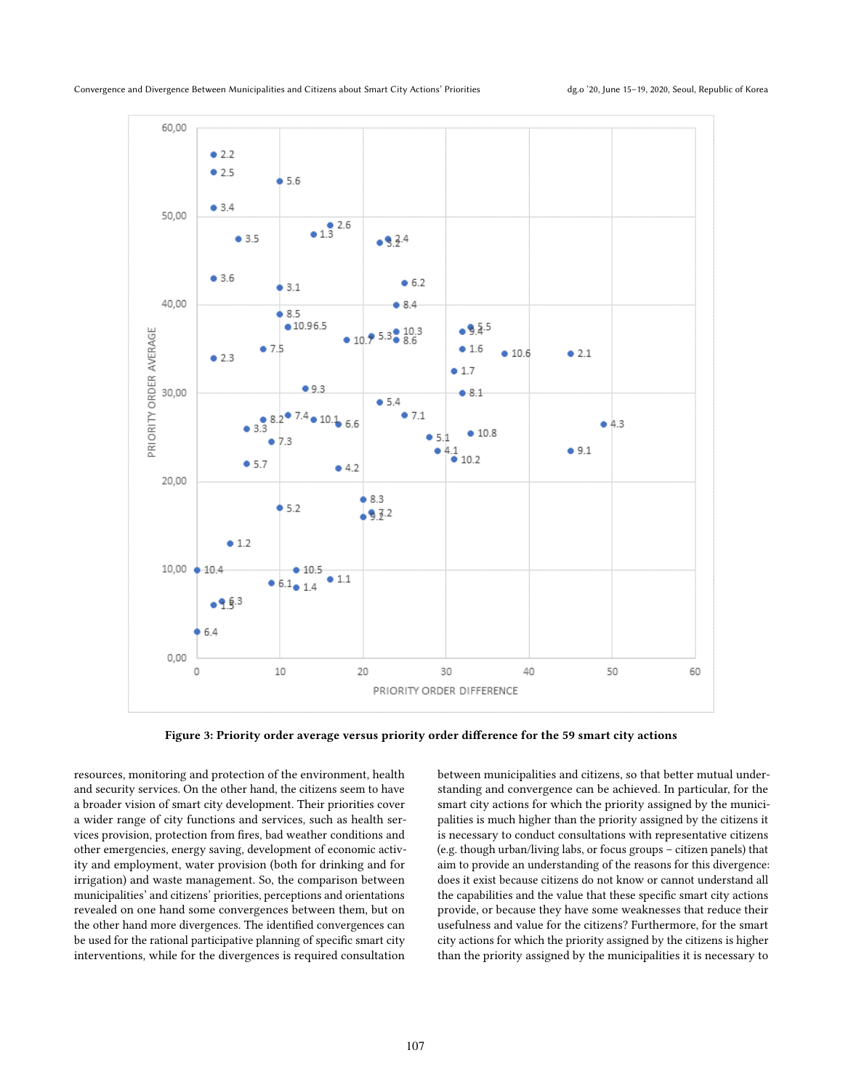<span id="page-10-0"></span>

Figure 3: Priority order average versus priority order difference for the 59 smart city actions

resources, monitoring and protection of the environment, health and security services. On the other hand, the citizens seem to have a broader vision of smart city development. Their priorities cover a wider range of city functions and services, such as health services provision, protection from fires, bad weather conditions and other emergencies, energy saving, development of economic activity and employment, water provision (both for drinking and for irrigation) and waste management. So, the comparison between municipalities' and citizens' priorities, perceptions and orientations revealed on one hand some convergences between them, but on the other hand more divergences. The identified convergences can be used for the rational participative planning of specific smart city interventions, while for the divergences is required consultation

between municipalities and citizens, so that better mutual understanding and convergence can be achieved. In particular, for the smart city actions for which the priority assigned by the municipalities is much higher than the priority assigned by the citizens it is necessary to conduct consultations with representative citizens (e.g. though urban/living labs, or focus groups – citizen panels) that aim to provide an understanding of the reasons for this divergence: does it exist because citizens do not know or cannot understand all the capabilities and the value that these specific smart city actions provide, or because they have some weaknesses that reduce their usefulness and value for the citizens? Furthermore, for the smart city actions for which the priority assigned by the citizens is higher than the priority assigned by the municipalities it is necessary to